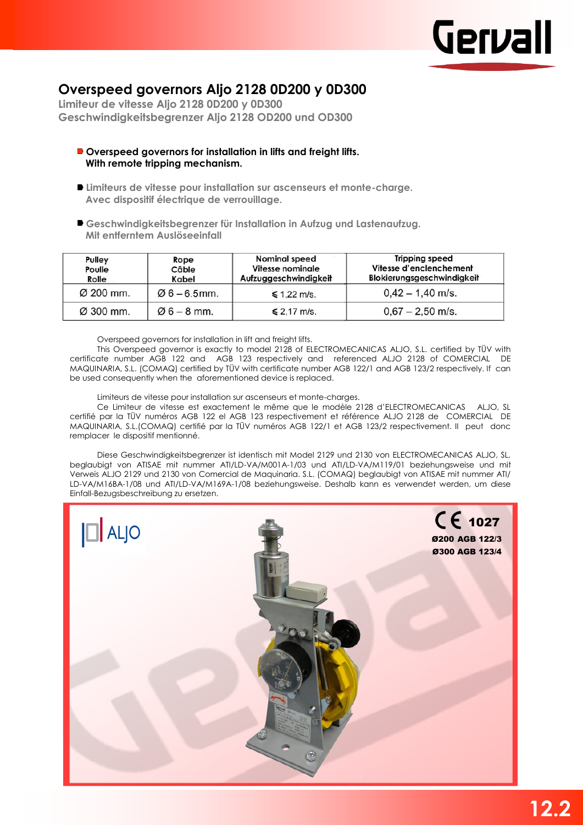

## **Overspeed governors Aljo 2128 0D200 y 0D300**

**Limiteur de vitesse Aljo 2128 0D200 y 0D300 Geschwindigkeitsbegrenzer Aljo 2128 OD200 und OD300**

- **Overspeed governors for installation in lifts and freight lifts. With remote tripping mechanism.**
- **Limiteurs de vitesse pour installation sur ascenseurs et monte-charge. Avec dispositif électrique de verrouillage.**
- **Geschwindigkeitsbegrenzer für Installation in Aufzug und Lastenaufzug. Mit entferntem Auslöseeinfall**

| Pulley<br>Poulie<br>Rolle | Rope<br>Câble<br>Kabel | <b>Nominal speed</b><br>Vitesse nominale<br>Aufzuggeschwindigkeit | <b>Tripping speed</b><br>Vitesse d'enclenchement<br>Blokierungsgeschwindigkeit |  |  |
|---------------------------|------------------------|-------------------------------------------------------------------|--------------------------------------------------------------------------------|--|--|
| Ø 200 mm.                 | $06 - 6.5$ mm.         | $\leq 1.22$ m/s.                                                  | $0,42 - 1,40$ m/s.                                                             |  |  |
| Ø 300 mm.                 | $06 - 8$ mm.           | $\leq 2.17$ m/s.                                                  | $0,67 - 2,50$ m/s.                                                             |  |  |

Overspeed governors for installation in lift and freight lifts.

This Overspeed governor is exactly to model 2128 of ELECTROMECANICAS ALJO, S.L. certified by TÜV with certificate number AGB 122 and AGB 123 respectively and referenced ALJO 2128 of COMERCIAL DE MAQUINARIA, S.L. (COMAQ) certified by TÜV with certificate number AGB 122/1 and AGB 123/2 respectively. If can be used consequently when the aforementioned device is replaced.

Limiteurs de vitesse pour installation sur ascenseurs et monte-charges.

Ce Limiteur de vitesse est exactement le même que le modèle 2128 d'ELECTROMECANICAS ALJO, SL certifié par la TÜV numéros AGB 122 el AGB 123 respectivement et référence ALJO 2128 de COMERCIAL DE MAQUINARIA, S.L.(COMAQ) certifié par la TÜV numéros AGB 122/1 et AGB 123/2 respectivement. II peut donc remplacer le dispositif mentionné.

Diese Geschwindigkeitsbegrenzer ist identisch mit Model 2129 und 2130 von ELECTROMECANICAS ALJO, SL, beglaubigt von ATISAE mit nummer ATI/LD-VA/M001A-1/03 und ATI/LD-VA/M119/01 beziehungsweise und mit Verweis ALJO 2129 und 2130 von Comercial de Maquinaria. S.L. (COMAQ) beglaubigt von ATISAE mit nummer ATI/ LD-VA/M16BA-1/08 und ATI/LD-VA/M169A-1/08 beziehungsweise. Deshalb kann es verwendet werden, um diese Einfall-Bezugsbeschreibung zu ersetzen.